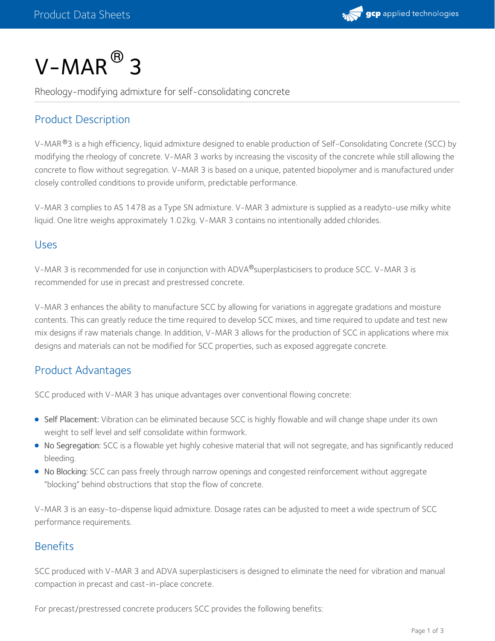

# $V$ – $MAR$  $^{\circledR}$  3

Rheology-modifying admixture for self-consolidating concrete

## Product Description

V-MAR®3 is a high efficiency, liquid admixture designed to enable production of Self-Consolidating Concrete (SCC) by modifying the rheology of concrete. V-MAR 3 works by increasing the viscosity of the concrete while still allowing the concrete to flow without segregation. V-MAR 3 is based on a unique, patented biopolymer and is manufactured under closely controlled conditions to provide uniform, predictable performance.

V-MAR 3 complies to AS 1478 as a Type SN admixture. V-MAR 3 admixture is supplied as a readyto-use milky white liquid. One litre weighs approximately 1.02kg. V-MAR 3 contains no intentionally added chlorides.

#### Uses

V-MAR 3 is recommended for use in conjunction with ADVA®superplasticisers to produce SCC. V-MAR 3 is recommended for use in precast and prestressed concrete.

V-MAR 3 enhances the ability to manufacture SCC by allowing for variations in aggregate gradations and moisture contents. This can greatly reduce the time required to develop SCC mixes, and time required to update and test new mix designs if raw materials change. In addition, V-MAR 3 allows for the production of SCC in applications where mix designs and materials can not be modified for SCC properties, such as exposed aggregate concrete.

## Product Advantages

SCC produced with V-MAR 3 has unique advantages over conventional flowing concrete:

- Self Placement: Vibration can be eliminated because SCC is highly flowable and will change shape under its own weight to self level and self consolidate within formwork.
- No Segregation: SCC is a flowable yet highly cohesive material that will not segregate, and has significantly reduced bleeding.
- No Blocking: SCC can pass freely through narrow openings and congested reinforcement without aggregate "blocking" behind obstructions that stop the flow of concrete.

V-MAR 3 is an easy-to-dispense liquid admixture. Dosage rates can be adjusted to meet a wide spectrum of SCC performance requirements.

## **Benefits**

SCC produced with V-MAR 3 and ADVA superplasticisers is designed to eliminate the need for vibration and manual compaction in precast and cast-in-place concrete.

For precast/prestressed concrete producers SCC provides the following benefits: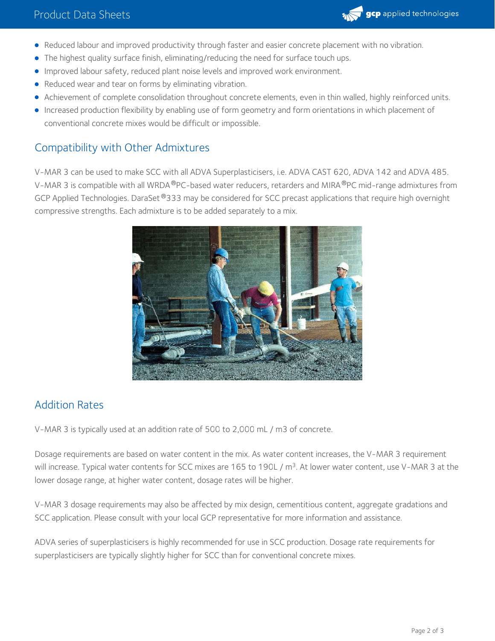

- Reduced labour and improved productivity through faster and easier concrete placement with no vibration.
- The highest quality surface finish, eliminating/reducing the need for surface touch ups.
- **Improved labour safety, reduced plant noise levels and improved work environment.**
- Reduced wear and tear on forms by eliminating vibration.
- Achievement of complete consolidation throughout concrete elements, even in thin walled, highly reinforced units.
- Increased production flexibility by enabling use of form geometry and form orientations in which placement of conventional concrete mixes would be difficult or impossible.

#### Compatibility with Other Admixtures

V-MAR 3 can be used to make SCC with all ADVA Superplasticisers, i.e. ADVA CAST 620, ADVA 142 and ADVA 485. V-MAR 3 is compatible with all WRDA®PC-based water reducers, retarders and MIRA®PC mid-range admixtures from GCP Applied Technologies. DaraSet  $^{\circledR}$ 333 may be considered for SCC precast applications that require high overnight compressive strengths. Each admixture is to be added separately to a mix.



#### Addition Rates

V-MAR 3 is typically used at an addition rate of 500 to 2,000 mL / m3 of concrete.

Dosage requirements are based on water content in the mix. As water content increases, the V-MAR 3 requirement will increase. Typical water contents for SCC mixes are 165 to 190L / m<sup>3</sup>. At lower water content, use V-MAR 3 at the lower dosage range, at higher water content, dosage rates will be higher.

V-MAR 3 dosage requirements may also be affected by mix design, cementitious content, aggregate gradations and SCC application. Please consult with your local GCP representative for more information and assistance.

ADVA series of superplasticisers is highly recommended for use in SCC production. Dosage rate requirements for superplasticisers are typically slightly higher for SCC than for conventional concrete mixes.